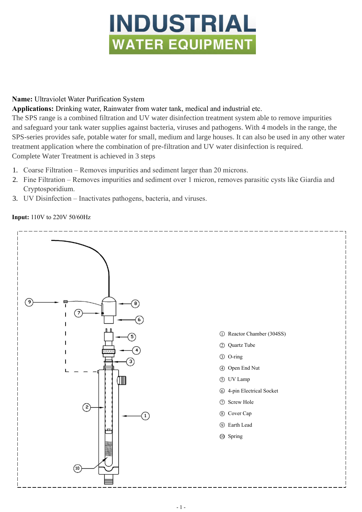# **INDUSTRIAL WATER EQUIPMENT**

## **Name:** Ultraviolet Water Purification System

# **Applications:** Drinking water, Rainwater from water tank, medical and industrial etc.

The SPS range is a combined filtration and UV water disinfection treatment system able to remove impurities and safeguard your tank water supplies against bacteria, viruses and pathogens. With 4 models in the range, the SPS-series provides safe, potable water for small, medium and large houses. It can also be used in any other water treatment application where the combination of pre-filtration and UV water disinfection is required. Complete Water Treatment is achieved in 3 steps

- 1. Coarse Filtration Removes impurities and sediment larger than 20 microns.
- 2. Fine Filtration Removes impurities and sediment over 1 micron, removes parasitic cysts like Giardia and Cryptosporidium.
- 3. UV Disinfection Inactivates pathogens, bacteria, and viruses.

## **Input:** 110V to 220V 50/60Hz

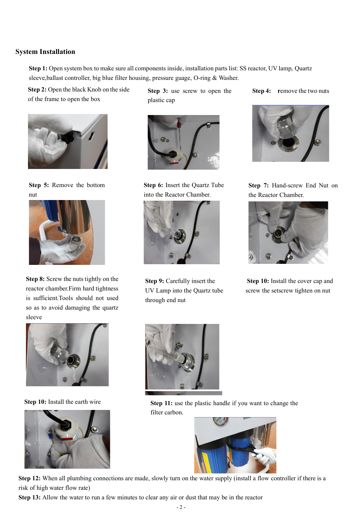#### **System Installation**

**Step 1:** Open system box to make sure all components inside, installation parts list: SS reactor, UV lamp, Quartz sleeve,ballast controller, big blue filter housing, pressure guage, O-ring & Washer.

**Step 2:** Open the black Knob on the side of the frame to open the box



**Step 5:** Remove the bottom nut



**Step 8:** Screw the nuts tightly on the reactor chamber.Firm hard tightness is sufficient.Tools should not used so as to avoid damaging the quartz sleeve



**Step 10:** Install the earth wire



**Step 3:** use screw to open the plastic cap



**Step 6:** Insert the Quartz Tube into the Reactor Chamber.



through end nut

**Step 4:** remove the two nuts



**Step 7:** Hand-screw End Nut on the Reactor Chamber.



**Step 9:** Carefully insert the **Step 10:** Install the cover cap and UV Lamp into the Quartz tube screw the setscrew tighten on nut



**Step 11:** use the plastic handle if you want to change the filter carbon.



 **Step 12:** When all plumbing connections are made, slowly turn on the water supply (install a flow controller if there is a risk of high water flow rate)

 **Step 13:** Allow the water to run a few minutes to clear any air or dust that may be in the reactor